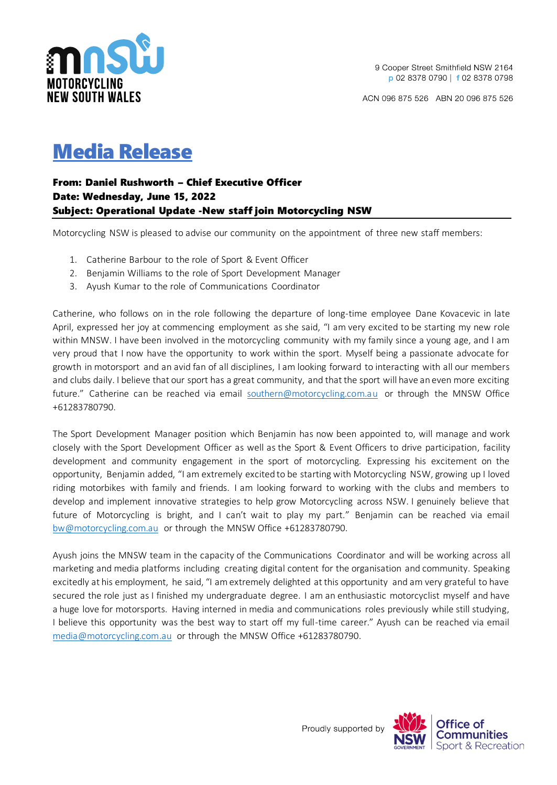

ACN 096 875 526 ABN 20 096 875 526

## Media Release

## From: Daniel Rushworth – Chief Executive Officer Date: Wednesday, June 15, 2022 Subject: Operational Update -New staff join Motorcycling NSW

Motorcycling NSW is pleased to advise our community on the appointment of three new staff members:

- 1. Catherine Barbour to the role of Sport & Event Officer
- 2. Benjamin Williams to the role of Sport Development Manager
- 3. Ayush Kumar to the role of Communications Coordinator

Catherine, who follows on in the role following the departure of long-time employee Dane Kovacevic in late April, expressed her joy at commencing employment as she said, "I am very excited to be starting my new role within MNSW. I have been involved in the motorcycling community with my family since a young age, and I am very proud that I now have the opportunity to work within the sport. Myself being a passionate advocate for growth in motorsport and an avid fan of all disciplines, I am looking forward to interacting with all our members and clubs daily. I believe that our sport has a great community, and that the sport will have an even more exciting future." Catherine can be reached via email [southern@motorcycling.com.au](mailto:southern@motorcycling.com.au) or through the MNSW Office +61283780790.

The Sport Development Manager position which Benjamin has now been appointed to, will manage and work closely with the Sport Development Officer as well as the Sport & Event Officers to drive participation, facility development and community engagement in the sport of motorcycling. Expressing his excitement on the opportunity, Benjamin added, "I am extremely excited to be starting with Motorcycling NSW, growing up I loved riding motorbikes with family and friends. I am looking forward to working with the clubs and members to develop and implement innovative strategies to help grow Motorcycling across NSW. I genuinely believe that future of Motorcycling is bright, and I can't wait to play my part." Benjamin can be reached via email [bw@motorcycling.com.au](mailto:bw@motorcycling.com.au) or through the MNSW Office +61283780790.

Ayush joins the MNSW team in the capacity of the Communications Coordinator and will be working across all marketing and media platforms including creating digital content for the organisation and community. Speaking excitedly at his employment, he said, "I am extremely delighted at this opportunity and am very grateful to have secured the role just as I finished my undergraduate degree. I am an enthusiastic motorcyclist myself and have a huge love for motorsports. Having interned in media and communications roles previously while still studying, I believe this opportunity was the best way to start off my full-time career." Ayush can be reached via email [media@motorcycling.com.au](mailto:media@motorcycling.com.au) or through the MNSW Office +61283780790.

Proudly supported by